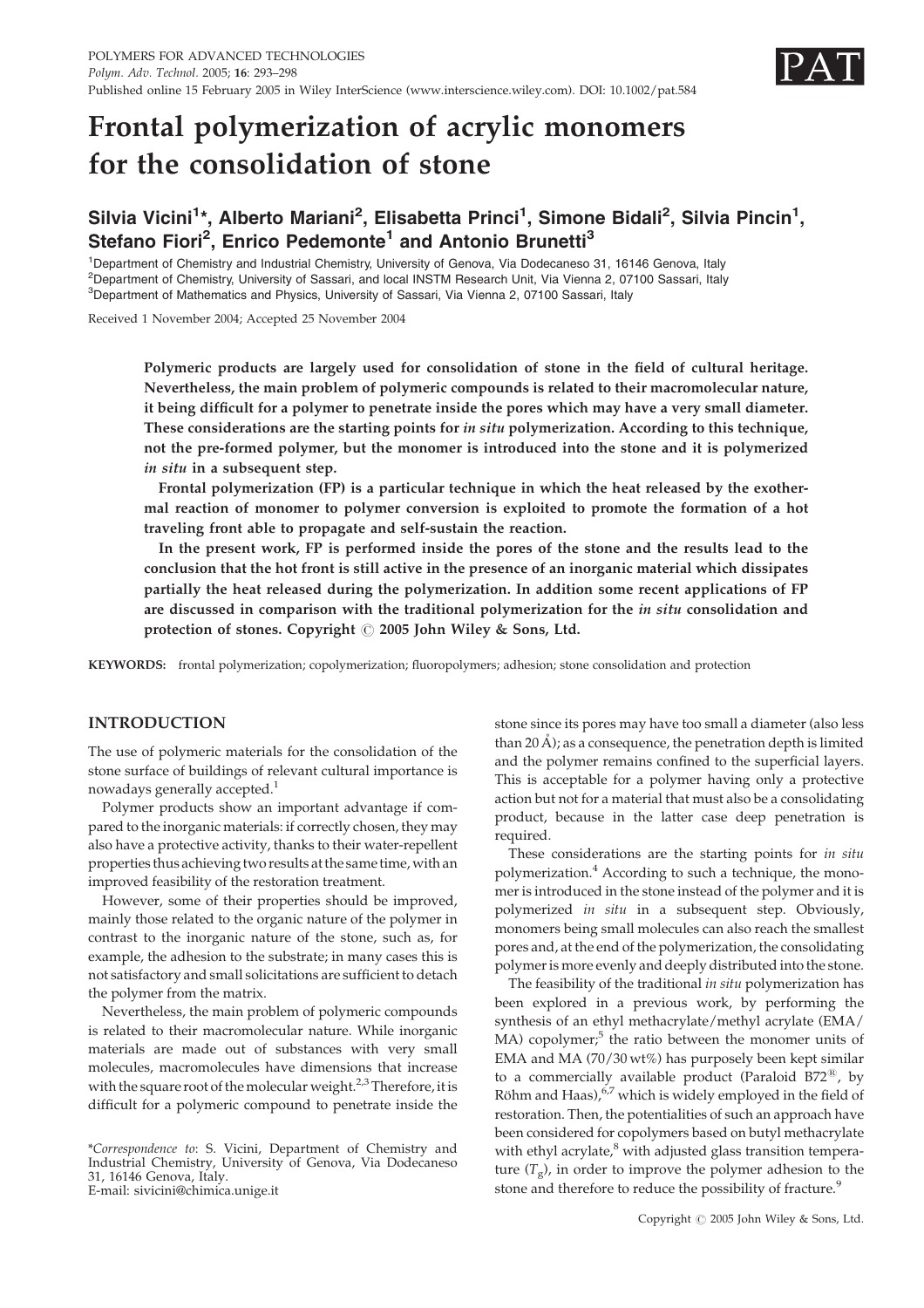

# Frontal polymerization of acrylic monomers for the consolidation of stone

# Silvia Vicini<sup>1</sup>\*, Alberto Mariani<sup>2</sup>, Elisabetta Princi<sup>1</sup>, Simone Bidali<sup>2</sup>, Silvia Pincin<sup>1</sup>, Stefano Fiori<sup>2</sup>, Enrico Pedemonte<sup>1</sup> and Antonio Brunetti<sup>3</sup>

1 Department of Chemistry and Industrial Chemistry, University of Genova, Via Dodecaneso 31, 16146 Genova, Italy 2 Department of Chemistry, University of Sassari, and local INSTM Research Unit, Via Vienna 2, 07100 Sassari, Italy 3 Department of Mathematics and Physics, University of Sassari, Via Vienna 2, 07100 Sassari, Italy

Received 1 November 2004; Accepted 25 November 2004

Polymeric products are largely used for consolidation of stone in the field of cultural heritage. Nevertheless, the main problem of polymeric compounds is related to their macromolecular nature, it being difficult for a polymer to penetrate inside the pores which may have a very small diameter. These considerations are the starting points for in situ polymerization. According to this technique, not the pre-formed polymer, but the monomer is introduced into the stone and it is polymerized in situ in a subsequent step.

Frontal polymerization (FP) is a particular technique in which the heat released by the exothermal reaction of monomer to polymer conversion is exploited to promote the formation of a hot traveling front able to propagate and self-sustain the reaction.

In the present work, FP is performed inside the pores of the stone and the results lead to the conclusion that the hot front is still active in the presence of an inorganic material which dissipates partially the heat released during the polymerization. In addition some recent applications of FP are discussed in comparison with the traditional polymerization for the *in situ* consolidation and protection of stones. Copyright  $\odot$  2005 John Wiley & Sons, Ltd.

KEYWORDS: frontal polymerization; copolymerization; fluoropolymers; adhesion; stone consolidation and protection

# INTRODUCTION

The use of polymeric materials for the consolidation of the stone surface of buildings of relevant cultural importance is nowadays generally accepted.<sup>1</sup>

Polymer products show an important advantage if compared to the inorganic materials: if correctly chosen, they may also have a protective activity, thanks to their water-repellent properties thus achieving two results at the same time, with an improved feasibility of the restoration treatment.

However, some of their properties should be improved, mainly those related to the organic nature of the polymer in contrast to the inorganic nature of the stone, such as, for example, the adhesion to the substrate; in many cases this is not satisfactory and small solicitations are sufficient to detach the polymer from the matrix.

Nevertheless, the main problem of polymeric compounds is related to their macromolecular nature. While inorganic materials are made out of substances with very small molecules, macromolecules have dimensions that increase with the square root of the molecular weight. $2,3$  Therefore, it is difficult for a polymeric compound to penetrate inside the

\*Correspondence to: S. Vicini, Department of Chemistry and Industrial Chemistry, University of Genova, Via Dodecaneso 31, 16146 Genova, Italy. E-mail: sivicini@chimica.unige.it

stone since its pores may have too small a diameter (also less than 20  $\AA$ ); as a consequence, the penetration depth is limited and the polymer remains confined to the superficial layers. This is acceptable for a polymer having only a protective action but not for a material that must also be a consolidating product, because in the latter case deep penetration is required.

These considerations are the starting points for in situ polymerization. $4$  According to such a technique, the monomer is introduced in the stone instead of the polymer and it is polymerized in situ in a subsequent step. Obviously, monomers being small molecules can also reach the smallest pores and, at the end of the polymerization, the consolidating polymer is more evenly and deeply distributed into the stone.

The feasibility of the traditional in situ polymerization has been explored in a previous work, by performing the synthesis of an ethyl methacrylate/methyl acrylate (EMA/  $MA$ ) copolymer;<sup>5</sup> the ratio between the monomer units of EMA and MA (70/30 wt%) has purposely been kept similar to a commercially available product (Paraloid B72 $^{\circledR}$ , by Röhm and Haas), $6.7$  which is widely employed in the field of restoration. Then, the potentialities of such an approach have been considered for copolymers based on butyl methacrylate with ethyl acrylate, $8$  with adjusted glass transition temperature  $(T<sub>g</sub>)$ , in order to improve the polymer adhesion to the stone and therefore to reduce the possibility of fracture.<sup>9</sup>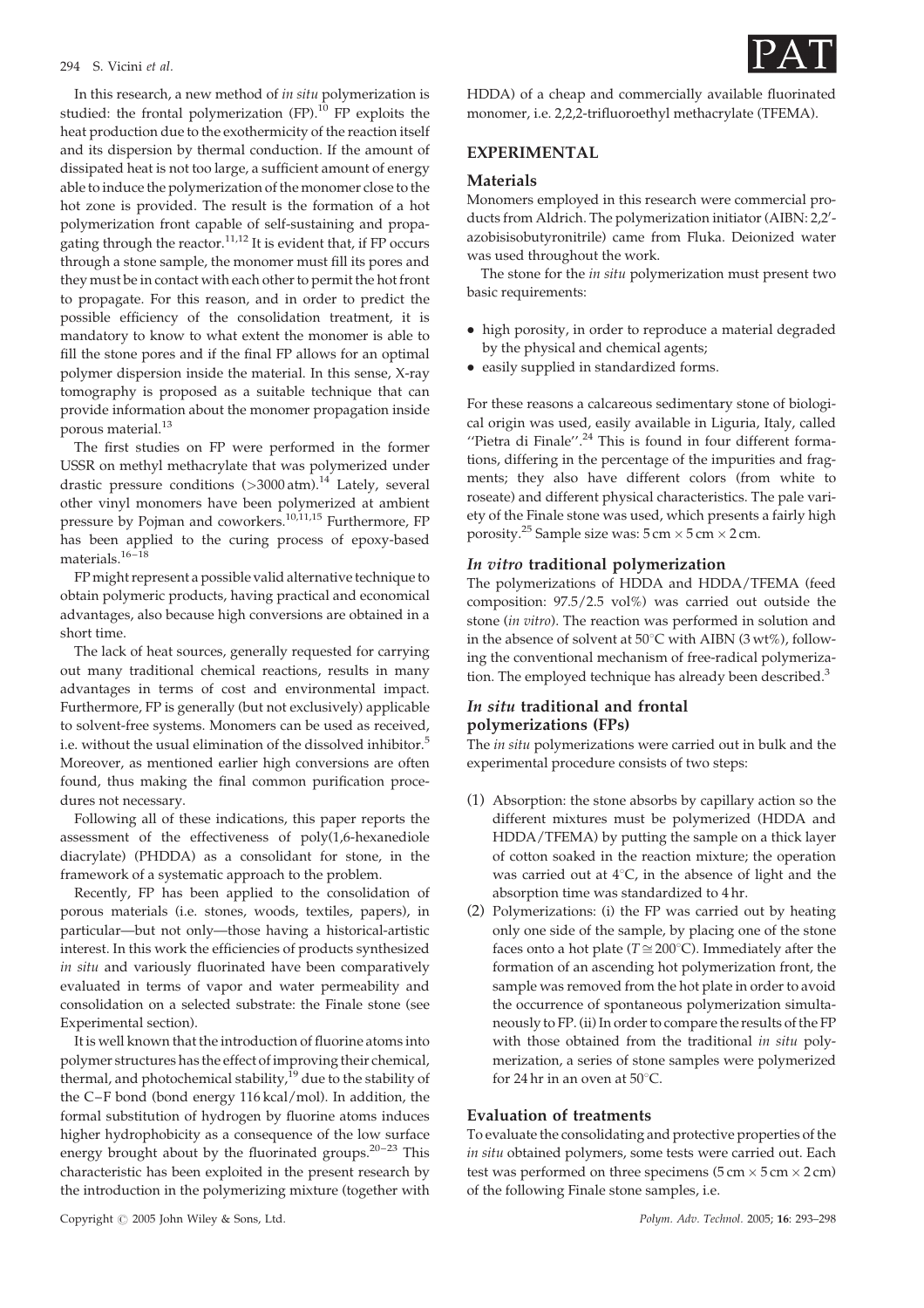#### 294 S. Vicini et al.

In this research, a new method of in situ polymerization is studied: the frontal polymerization  $(FP)$ .<sup>10</sup> FP exploits the heat production due to the exothermicity of the reaction itself and its dispersion by thermal conduction. If the amount of dissipated heat is not too large, a sufficient amount of energy able to induce the polymerization of the monomer close to the hot zone is provided. The result is the formation of a hot polymerization front capable of self-sustaining and propagating through the reactor.<sup>11,12</sup> It is evident that, if FP occurs through a stone sample, the monomer must fill its pores and they must be in contact with each other to permit the hot front to propagate. For this reason, and in order to predict the possible efficiency of the consolidation treatment, it is mandatory to know to what extent the monomer is able to fill the stone pores and if the final FP allows for an optimal polymer dispersion inside the material. In this sense, X-ray tomography is proposed as a suitable technique that can provide information about the monomer propagation inside porous material.<sup>13</sup>

The first studies on FP were performed in the former USSR on methyl methacrylate that was polymerized under drastic pressure conditions  $(>3000 \text{ atm})$ .<sup>14</sup> Lately, several other vinyl monomers have been polymerized at ambient pressure by Pojman and coworkers.10,11,15 Furthermore, FP has been applied to the curing process of epoxy-based materials. $16-1$ 

FP might represent a possible valid alternative technique to obtain polymeric products, having practical and economical advantages, also because high conversions are obtained in a short time.

The lack of heat sources, generally requested for carrying out many traditional chemical reactions, results in many advantages in terms of cost and environmental impact. Furthermore, FP is generally (but not exclusively) applicable to solvent-free systems. Monomers can be used as received, i.e. without the usual elimination of the dissolved inhibitor.<sup>5</sup> Moreover, as mentioned earlier high conversions are often found, thus making the final common purification procedures not necessary.

Following all of these indications, this paper reports the assessment of the effectiveness of poly(1,6-hexanediole diacrylate) (PHDDA) as a consolidant for stone, in the framework of a systematic approach to the problem.

Recently, FP has been applied to the consolidation of porous materials (i.e. stones, woods, textiles, papers), in particular—but not only—those having a historical-artistic interest. In this work the efficiencies of products synthesized in situ and variously fluorinated have been comparatively evaluated in terms of vapor and water permeability and consolidation on a selected substrate: the Finale stone (see Experimental section).

It is well known that the introduction of fluorine atoms into polymer structures has the effect of improving their chemical, thermal, and photochemical stability, $\frac{1}{2}$ <sup>19</sup> due to the stability of the C–F bond (bond energy 116 kcal/mol). In addition, the formal substitution of hydrogen by fluorine atoms induces higher hydrophobicity as a consequence of the low surface energy brought about by the fluorinated groups. $20-23$  This characteristic has been exploited in the present research by the introduction in the polymerizing mixture (together with



HDDA) of a cheap and commercially available fluorinated monomer, i.e. 2,2,2-trifluoroethyl methacrylate (TFEMA).

# EXPERIMENTAL

#### Materials

Monomers employed in this research were commercial products from Aldrich. The polymerization initiator (AIBN: 2,2'azobisisobutyronitrile) came from Fluka. Deionized water was used throughout the work.

The stone for the in situ polymerization must present two basic requirements:

- high porosity, in order to reproduce a material degraded by the physical and chemical agents;
- easily supplied in standardized forms.

For these reasons a calcareous sedimentary stone of biological origin was used, easily available in Liguria, Italy, called "Pietra di Finale". $^{24}$  This is found in four different formations, differing in the percentage of the impurities and fragments; they also have different colors (from white to roseate) and different physical characteristics. The pale variety of the Finale stone was used, which presents a fairly high porosity. $^{25}$  Sample size was:  $5 \text{ cm} \times 5 \text{ cm} \times 2 \text{ cm}$ .

#### In vitro traditional polymerization

The polymerizations of HDDA and HDDA/TFEMA (feed composition: 97.5/2.5 vol%) was carried out outside the stone (in vitro). The reaction was performed in solution and in the absence of solvent at  $50^{\circ}$ C with AIBN (3 wt%), following the conventional mechanism of free-radical polymerization. The employed technique has already been described. $3$ 

# In situ traditional and frontal polymerizations (FPs)

The in situ polymerizations were carried out in bulk and the experimental procedure consists of two steps:

- (1) Absorption: the stone absorbs by capillary action so the different mixtures must be polymerized (HDDA and HDDA/TFEMA) by putting the sample on a thick layer of cotton soaked in the reaction mixture; the operation was carried out at  $4^{\circ}$ C, in the absence of light and the absorption time was standardized to 4 hr.
- (2) Polymerizations: (i) the FP was carried out by heating only one side of the sample, by placing one of the stone faces onto a hot plate ( $T \approx 200^{\circ}$ C). Immediately after the formation of an ascending hot polymerization front, the sample was removed from the hot plate in order to avoid the occurrence of spontaneous polymerization simultaneously to FP. (ii) In order to compare the results of the FP with those obtained from the traditional in situ polymerization, a series of stone samples were polymerized for 24 hr in an oven at  $50^{\circ}$ C.

#### Evaluation of treatments

To evaluate the consolidating and protective properties of the in situ obtained polymers, some tests were carried out. Each test was performed on three specimens  $(5 \text{ cm} \times 5 \text{ cm} \times 2 \text{ cm})$ of the following Finale stone samples, i.e.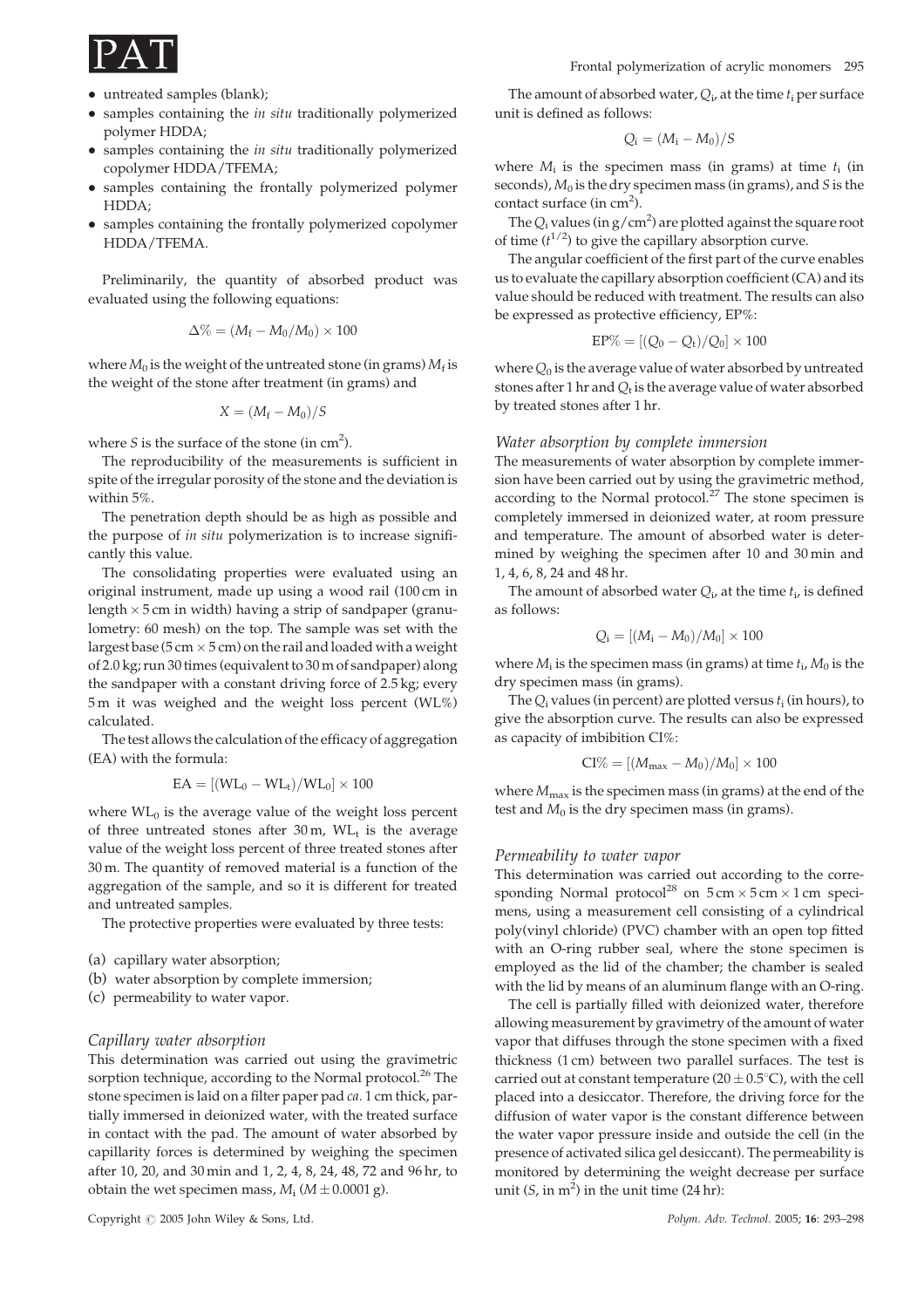

- untreated samples (blank);
- samples containing the *in situ* traditionally polymerized polymer HDDA;
- samples containing the *in situ* traditionally polymerized copolymer HDDA/TFEMA;
- samples containing the frontally polymerized polymer HDDA;
- samples containing the frontally polymerized copolymer HDDA/TFEMA.

Preliminarily, the quantity of absorbed product was evaluated using the following equations:

$$
\Delta\%=(M_{\rm f}-M_0/M_0)\times100
$$

where  $M_0$  is the weight of the untreated stone (in grams)  $M_f$  is the weight of the stone after treatment (in grams) and

$$
X=(M_{\rm f}-M_0)/S
$$

where *S* is the surface of the stone (in  $cm<sup>2</sup>$ ).

The reproducibility of the measurements is sufficient in spite of the irregular porosity of the stone and the deviation is within 5%.

The penetration depth should be as high as possible and the purpose of in situ polymerization is to increase significantly this value.

The consolidating properties were evaluated using an original instrument, made up using a wood rail (100 cm in length  $\times$  5 cm in width) having a strip of sandpaper (granulometry: 60 mesh) on the top. The sample was set with the largest base (5 cm  $\times$  5 cm) on the rail and loaded with a weight of 2.0 kg; run 30 times (equivalent to 30 m of sandpaper) along the sandpaper with a constant driving force of 2.5 kg; every 5 m it was weighed and the weight loss percent (WL%) calculated.

The test allows the calculation of the efficacy of aggregation (EA) with the formula:

$$
EA = [(WL_0 - WL_t)/WL_0] \times 100
$$

where  $WL_0$  is the average value of the weight loss percent of three untreated stones after  $30 \text{ m}$ , WL<sub>t</sub> is the average value of the weight loss percent of three treated stones after 30 m. The quantity of removed material is a function of the aggregation of the sample, and so it is different for treated and untreated samples.

The protective properties were evaluated by three tests:

- (a) capillary water absorption;
- (b) water absorption by complete immersion;
- (c) permeability to water vapor.

#### Capillary water absorption

This determination was carried out using the gravimetric sorption technique, according to the Normal protocol.<sup>26</sup> The stone specimen is laid on a filter paper pad ca. 1 cm thick, partially immersed in deionized water, with the treated surface in contact with the pad. The amount of water absorbed by capillarity forces is determined by weighing the specimen after 10, 20, and 30 min and 1, 2, 4, 8, 24, 48, 72 and 96 hr, to obtain the wet specimen mass,  $M_i$  ( $M \pm 0.0001$  g).

The amount of absorbed water,  $Q_i$ , at the time  $t_i$  per surface unit is defined as follows:

$$
Q_{\rm i}=(\textit{M}_{\rm i}-\textit{M}_{\rm 0})/S
$$

where  $M_i$  is the specimen mass (in grams) at time  $t_i$  (in seconds),  $M_0$  is the dry specimen mass (in grams), and S is the contact surface (in cm<sup>2</sup>).

The  $Q_{\rm i}$  values (in g/cm<sup>2</sup>) are plotted against the square root of time  $(t^{1/2})$  to give the capillary absorption curve.

The angular coefficient of the first part of the curve enables us to evaluate the capillary absorption coefficient (CA) and its value should be reduced with treatment. The results can also be expressed as protective efficiency, EP%:

$$
EP\%=[(Q_0-Q_t)/Q_0]\times 100
$$

where  $Q_0$  is the average value of water absorbed by untreated stones after 1 hr and  $Q_t$  is the average value of water absorbed by treated stones after 1 hr.

#### Water absorption by complete immersion

The measurements of water absorption by complete immersion have been carried out by using the gravimetric method, according to the Normal protocol. $27$  The stone specimen is completely immersed in deionized water, at room pressure and temperature. The amount of absorbed water is determined by weighing the specimen after 10 and 30 min and 1, 4, 6, 8, 24 and 48 hr.

The amount of absorbed water  $Q_i$ , at the time  $t_i$ , is defined as follows:

$$
Q_{\rm i} = [(M_{\rm i} - M_0)/M_0] \times 100
$$

where  $M_i$  is the specimen mass (in grams) at time  $t_i$ ,  $M_0$  is the dry specimen mass (in grams).

The  $Q_i$  values (in percent) are plotted versus  $t_i$  (in hours), to give the absorption curve. The results can also be expressed as capacity of imbibition CI%:

$$
CI\%=[(M_{max}-M_0)/M_0]\times 100
$$

where  $M_{\text{max}}$  is the specimen mass (in grams) at the end of the test and  $M_0$  is the dry specimen mass (in grams).

# Permeability to water vapor

This determination was carried out according to the corresponding Normal protocol<sup>28</sup> on  $5 \text{ cm} \times 5 \text{ cm} \times 1 \text{ cm}$  specimens, using a measurement cell consisting of a cylindrical poly(vinyl chloride) (PVC) chamber with an open top fitted with an O-ring rubber seal, where the stone specimen is employed as the lid of the chamber; the chamber is sealed with the lid by means of an aluminum flange with an O-ring.

The cell is partially filled with deionized water, therefore allowing measurement by gravimetry of the amount of water vapor that diffuses through the stone specimen with a fixed thickness (1 cm) between two parallel surfaces. The test is carried out at constant temperature ( $20 \pm 0.5^{\circ}$ C), with the cell placed into a desiccator. Therefore, the driving force for the diffusion of water vapor is the constant difference between the water vapor pressure inside and outside the cell (in the presence of activated silica gel desiccant). The permeability is monitored by determining the weight decrease per surface unit (*S*, in m<sup>2</sup>) in the unit time (24 hr):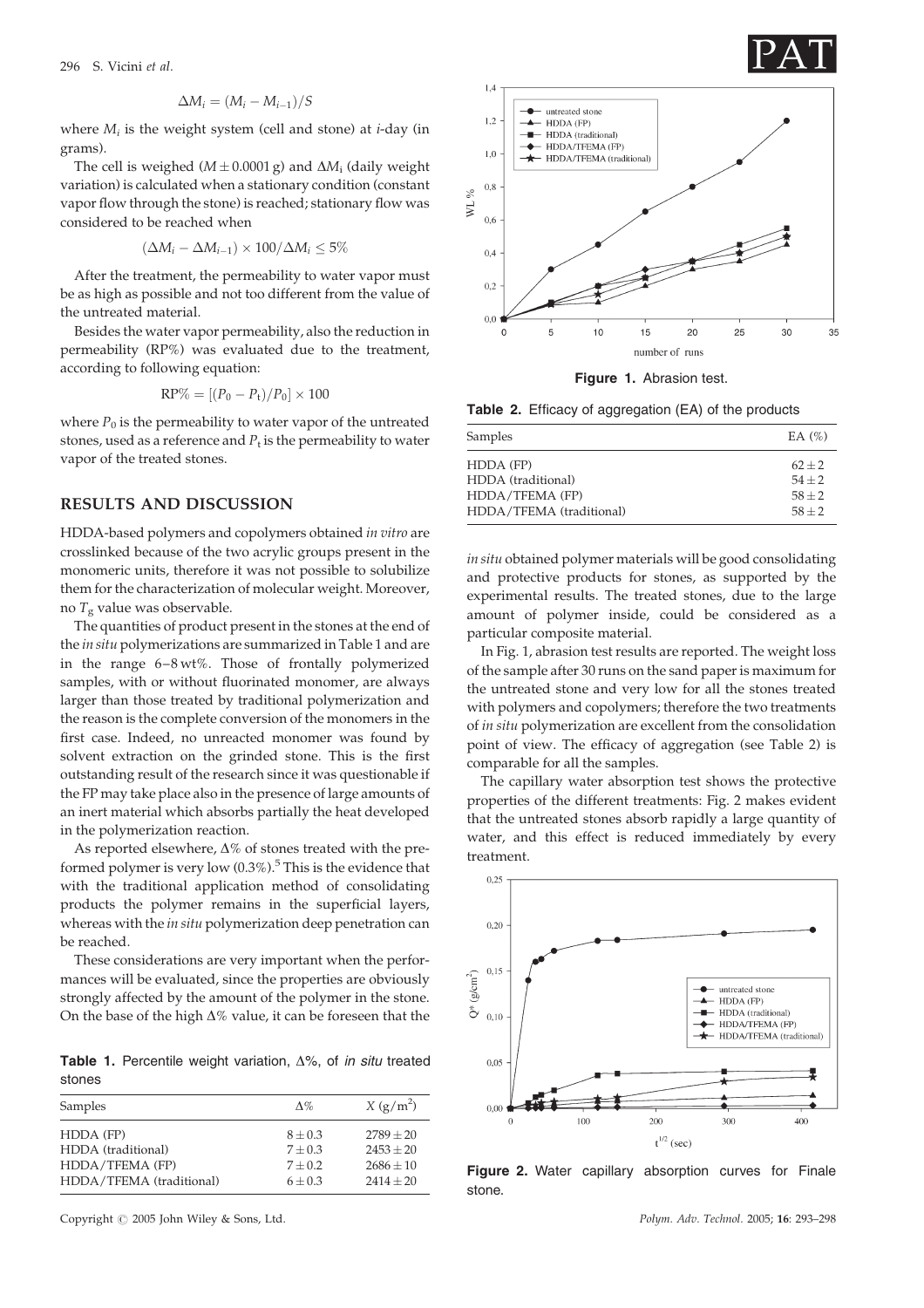$$
\Delta M_i = (M_i - M_{i-1})/S
$$

where  $M_i$  is the weight system (cell and stone) at *i*-day (in grams).

The cell is weighed  $(M \pm 0.0001 \text{ g})$  and  $\Delta M_i$  (daily weight variation) is calculated when a stationary condition (constant vapor flow through the stone) is reached; stationary flow was considered to be reached when

$$
(\Delta M_i - \Delta M_{i-1}) \times 100 / \Delta M_i \le 5\%
$$

After the treatment, the permeability to water vapor must be as high as possible and not too different from the value of the untreated material.

Besides the water vapor permeability, also the reduction in permeability (RP%) was evaluated due to the treatment, according to following equation:

$$
\rm RP\% = [(P_0 - P_t)/P_0] \times 100
$$

where  $P_0$  is the permeability to water vapor of the untreated stones, used as a reference and  $P_t$  is the permeability to water vapor of the treated stones.

### RESULTS AND DISCUSSION

HDDA-based polymers and copolymers obtained in vitro are crosslinked because of the two acrylic groups present in the monomeric units, therefore it was not possible to solubilize them for the characterization of molecular weight. Moreover, no  $T_g$  value was observable.

The quantities of product present in the stones at the end of the in situ polymerizations are summarized in Table 1 and are in the range 6–8 wt%. Those of frontally polymerized samples, with or without fluorinated monomer, are always larger than those treated by traditional polymerization and the reason is the complete conversion of the monomers in the first case. Indeed, no unreacted monomer was found by solvent extraction on the grinded stone. This is the first outstanding result of the research since it was questionable if the FP may take place also in the presence of large amounts of an inert material which absorbs partially the heat developed in the polymerization reaction.

As reported elsewhere,  $\Delta\%$  of stones treated with the preformed polymer is very low  $(0.3\%)$ .<sup>5</sup> This is the evidence that with the traditional application method of consolidating products the polymer remains in the superficial layers, whereas with the in situ polymerization deep penetration can be reached.

These considerations are very important when the performances will be evaluated, since the properties are obviously strongly affected by the amount of the polymer in the stone. On the base of the high  $\Delta\%$  value, it can be foreseen that the

Table 1. Percentile weight variation,  $\Delta\%$ , of in situ treated stones

| Samples                  | $\Lambda\%$ | $X\left(\frac{g}{m^2}\right)$ |
|--------------------------|-------------|-------------------------------|
| HDDA (FP)                | $8 + 0.3$   | $2789 + 20$                   |
| HDDA (traditional)       | $7 + 0.3$   | $2453 \pm 20$                 |
| HDDA/TFEMA (FP)          | $7 + 0.2$   | $2686 \pm 10$                 |
| HDDA/TFEMA (traditional) | $6 + 0.3$   | $2414 \pm 20$                 |



Figure 1. Abrasion test.

Table 2. Efficacy of aggregation (EA) of the products

| Samples                  | EA $(\%)$  |
|--------------------------|------------|
| HDDA (FP)                | $62 + 2$   |
| HDDA (traditional)       | $54 + 2$   |
| HDDA/TFEMA (FP)          | $58 + 2$   |
| HDDA/TFEMA (traditional) | $58 \pm 2$ |

in situ obtained polymer materials will be good consolidating and protective products for stones, as supported by the experimental results. The treated stones, due to the large amount of polymer inside, could be considered as a particular composite material.

In Fig. 1, abrasion test results are reported. The weight loss of the sample after 30 runs on the sand paper is maximum for the untreated stone and very low for all the stones treated with polymers and copolymers; therefore the two treatments of in situ polymerization are excellent from the consolidation point of view. The efficacy of aggregation (see Table 2) is comparable for all the samples.

The capillary water absorption test shows the protective properties of the different treatments: Fig. 2 makes evident that the untreated stones absorb rapidly a large quantity of water, and this effect is reduced immediately by every treatment.



Figure 2. Water capillary absorption curves for Finale stone.

Copyright  $\odot$  2005 John Wiley & Sons, Ltd. Polym. Adv. Technol. 2005; 16: 293-298

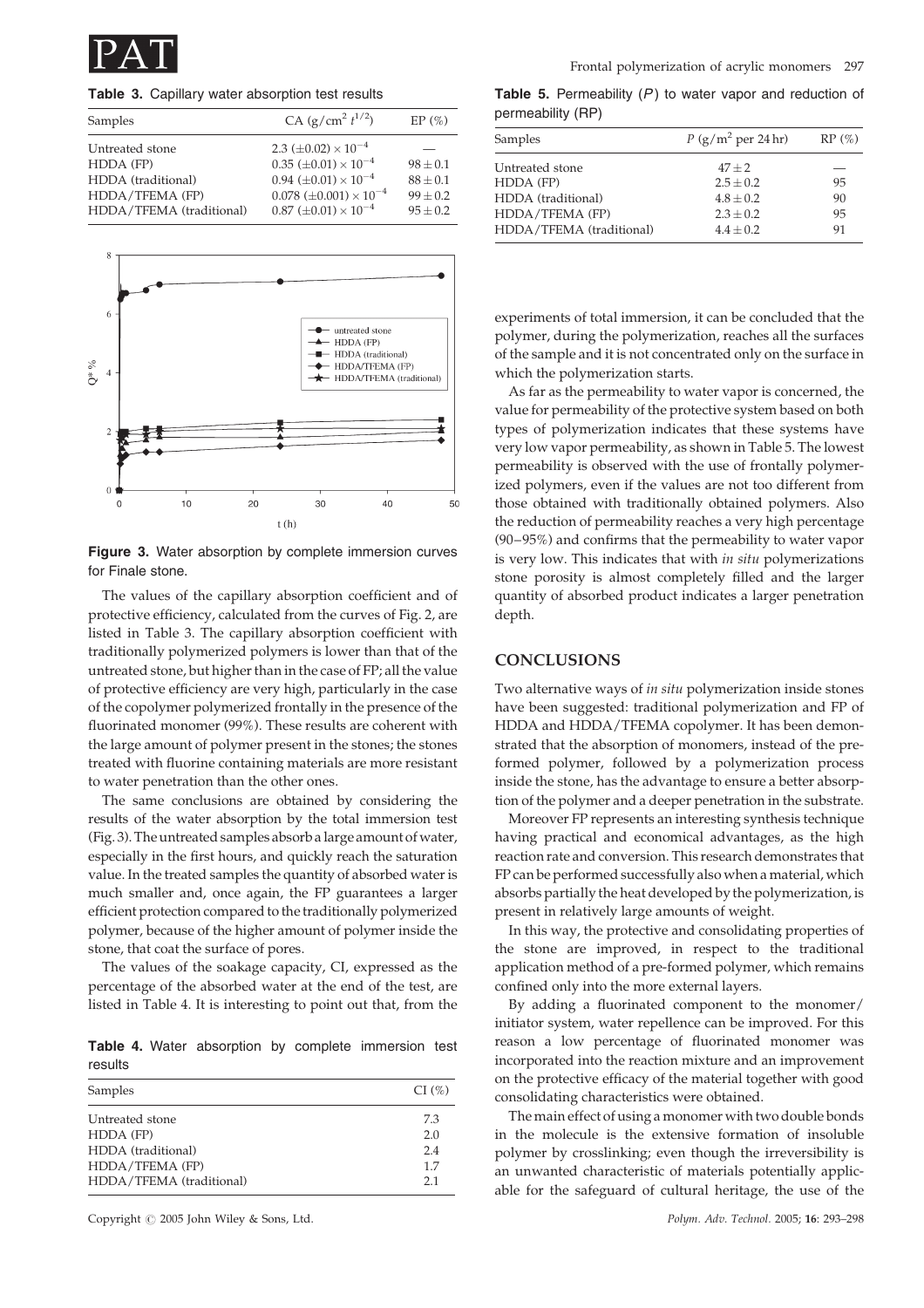

#### Table 3. Capillary water absorption test results

| Samples                  | CA $(g/cm^2 t^{1/2})$                       | EP(%)        |
|--------------------------|---------------------------------------------|--------------|
| Untreated stone          | 2.3 ( $\pm$ 0.02) $\times$ 10 <sup>-4</sup> |              |
| HDDA (FP)                | $0.35 \ (\pm 0.01) \times 10^{-4}$          | $98 + 0.1$   |
| HDDA (traditional)       | $0.94 \ (\pm 0.01) \times 10^{-4}$          | $88 + 0.1$   |
| HDDA/TFEMA (FP)          | $0.078 \ (\pm 0.001) \times 10^{-4}$        | $99 + 0.2$   |
| HDDA/TFEMA (traditional) | $0.87 \ (\pm 0.01) \times 10^{-4}$          | $95 \pm 0.2$ |



Figure 3. Water absorption by complete immersion curves for Finale stone.

The values of the capillary absorption coefficient and of protective efficiency, calculated from the curves of Fig. 2, are listed in Table 3. The capillary absorption coefficient with traditionally polymerized polymers is lower than that of the untreated stone, but higher than in the case of FP; all the value of protective efficiency are very high, particularly in the case of the copolymer polymerized frontally in the presence of the fluorinated monomer (99%). These results are coherent with the large amount of polymer present in the stones; the stones treated with fluorine containing materials are more resistant to water penetration than the other ones.

The same conclusions are obtained by considering the results of the water absorption by the total immersion test (Fig. 3). The untreated samples absorb a large amount of water, especially in the first hours, and quickly reach the saturation value. In the treated samples the quantity of absorbed water is much smaller and, once again, the FP guarantees a larger efficient protection compared to the traditionally polymerized polymer, because of the higher amount of polymer inside the stone, that coat the surface of pores.

The values of the soakage capacity, CI, expressed as the percentage of the absorbed water at the end of the test, are listed in Table 4. It is interesting to point out that, from the

Table 4. Water absorption by complete immersion test results

| Samples                  | CI(%) |
|--------------------------|-------|
| Untreated stone          | 7.3   |
| HDDA (FP)                | 2.0   |
| HDDA (traditional)       | 2.4   |
| HDDA/TFEMA (FP)          | 1.7   |
| HDDA/TFEMA (traditional) | 2.1   |

Copyright  $\odot$  2005 John Wiley & Sons, Ltd. Polym. Adv. Technol. 2005; 16: 293-298

Table 5. Permeability  $(P)$  to water vapor and reduction of permeability (RP)

| Samples                  | $P$ (g/m <sup>2</sup> per 24 hr) | RP(%) |
|--------------------------|----------------------------------|-------|
| Untreated stone          | $47 + 2$                         |       |
| HDDA (FP)                | $2.5 + 0.2$                      | 95    |
| HDDA (traditional)       | $4.8 \pm 0.2$                    | 90    |
| HDDA/TFEMA (FP)          | $2.3 + 0.2$                      | 95    |
| HDDA/TFEMA (traditional) | $4.4 \pm 0.2$                    | 91    |

experiments of total immersion, it can be concluded that the polymer, during the polymerization, reaches all the surfaces of the sample and it is not concentrated only on the surface in which the polymerization starts.

As far as the permeability to water vapor is concerned, the value for permeability of the protective system based on both types of polymerization indicates that these systems have very low vapor permeability, as shown in Table 5. The lowest permeability is observed with the use of frontally polymerized polymers, even if the values are not too different from those obtained with traditionally obtained polymers. Also the reduction of permeability reaches a very high percentage (90–95%) and confirms that the permeability to water vapor is very low. This indicates that with in situ polymerizations stone porosity is almost completely filled and the larger quantity of absorbed product indicates a larger penetration depth.

### **CONCLUSIONS**

Two alternative ways of in situ polymerization inside stones have been suggested: traditional polymerization and FP of HDDA and HDDA/TFEMA copolymer. It has been demonstrated that the absorption of monomers, instead of the preformed polymer, followed by a polymerization process inside the stone, has the advantage to ensure a better absorption of the polymer and a deeper penetration in the substrate.

Moreover FP represents an interesting synthesis technique having practical and economical advantages, as the high reaction rate and conversion. This research demonstrates that FP can be performed successfully also when a material, which absorbs partially the heat developed by the polymerization, is present in relatively large amounts of weight.

In this way, the protective and consolidating properties of the stone are improved, in respect to the traditional application method of a pre-formed polymer, which remains confined only into the more external layers.

By adding a fluorinated component to the monomer/ initiator system, water repellence can be improved. For this reason a low percentage of fluorinated monomer was incorporated into the reaction mixture and an improvement on the protective efficacy of the material together with good consolidating characteristics were obtained.

The main effect of using a monomer with two double bonds in the molecule is the extensive formation of insoluble polymer by crosslinking; even though the irreversibility is an unwanted characteristic of materials potentially applicable for the safeguard of cultural heritage, the use of the